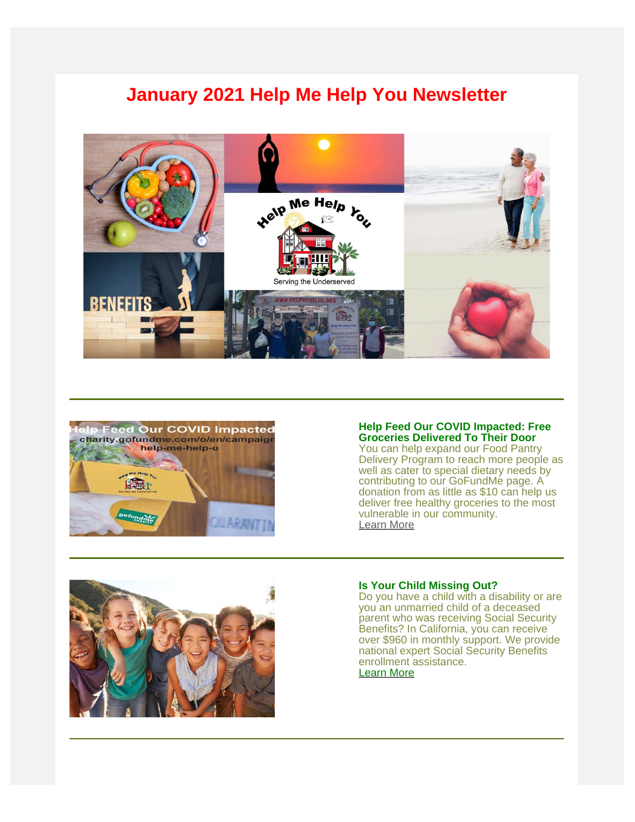# **January 2021 Help Me Help You Newsletter**





#### **Help Feed Our COVID Impacted: Free Groceries Delivered To Their Door**

You can help expand our Food Pantry Delivery Program to reach more people as well as cater to special dietary needs by contributing to our GoFundMe page. A donation from as little as \$10 can help us deliver free healthy groceries to the most vulnerable in our community. [Learn More](https://charity.gofundme.com/o/en/campaign/help-me-help-u)



## **Is Your Child Missing Out?**

Do you have a child with a disability or are you an unmarried child of a deceased parent who was receiving Social Security Benefits? In California, you can receive over \$960 in monthly support. We provide national expert Social Security Benefits enrollment assistance. [Learn More](https://www.helpmehelpu.org/post/is-your-child-missing-out-on-social-security-financial-entitlements)